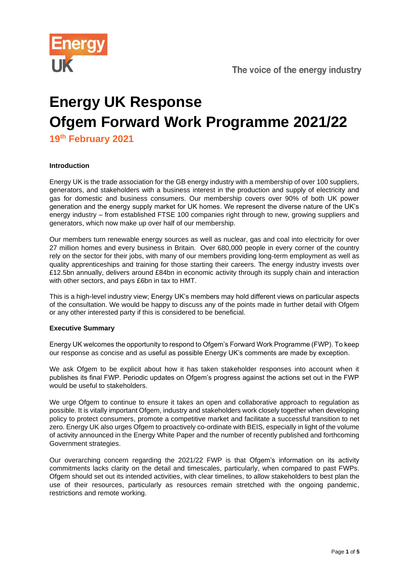

# **Energy UK Response Ofgem Forward Work Programme 2021/22**

**19th February 2021**

## **Introduction**

Energy UK is the trade association for the GB energy industry with a membership of over 100 suppliers, generators, and stakeholders with a business interest in the production and supply of electricity and gas for domestic and business consumers. Our membership covers over 90% of both UK power generation and the energy supply market for UK homes. We represent the diverse nature of the UK's energy industry – from established FTSE 100 companies right through to new, growing suppliers and generators, which now make up over half of our membership.

Our members turn renewable energy sources as well as nuclear, gas and coal into electricity for over 27 million homes and every business in Britain. Over 680,000 people in every corner of the country rely on the sector for their jobs, with many of our members providing long-term employment as well as quality apprenticeships and training for those starting their careers. The energy industry invests over £12.5bn annually, delivers around £84bn in economic activity through its supply chain and interaction with other sectors, and pays £6bn in tax to HMT.

This is a high-level industry view; Energy UK's members may hold different views on particular aspects of the consultation. We would be happy to discuss any of the points made in further detail with Ofgem or any other interested party if this is considered to be beneficial.

## **Executive Summary**

Energy UK welcomes the opportunity to respond to Ofgem's Forward Work Programme (FWP). To keep our response as concise and as useful as possible Energy UK's comments are made by exception.

We ask Ofgem to be explicit about how it has taken stakeholder responses into account when it publishes its final FWP. Periodic updates on Ofgem's progress against the actions set out in the FWP would be useful to stakeholders.

We urge Ofgem to continue to ensure it takes an open and collaborative approach to regulation as possible. It is vitally important Ofgem, industry and stakeholders work closely together when developing policy to protect consumers, promote a competitive market and facilitate a successful transition to net zero. Energy UK also urges Ofgem to proactively co-ordinate with BEIS, especially in light of the volume of activity announced in the Energy White Paper and the number of recently published and forthcoming Government strategies.

Our overarching concern regarding the 2021/22 FWP is that Ofgem's information on its activity commitments lacks clarity on the detail and timescales, particularly, when compared to past FWPs. Ofgem should set out its intended activities, with clear timelines, to allow stakeholders to best plan the use of their resources, particularly as resources remain stretched with the ongoing pandemic, restrictions and remote working.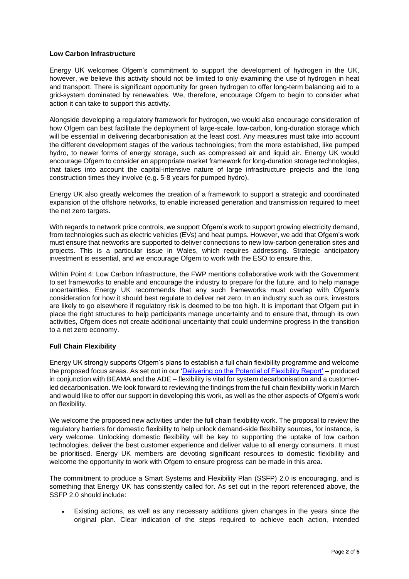#### **Low Carbon Infrastructure**

Energy UK welcomes Ofgem's commitment to support the development of hydrogen in the UK, however, we believe this activity should not be limited to only examining the use of hydrogen in heat and transport. There is significant opportunity for green hydrogen to offer long-term balancing aid to a grid-system dominated by renewables. We, therefore, encourage Ofgem to begin to consider what action it can take to support this activity.

Alongside developing a regulatory framework for hydrogen, we would also encourage consideration of how Ofgem can best facilitate the deployment of large-scale, low-carbon, long-duration storage which will be essential in delivering decarbonisation at the least cost. Any measures must take into account the different development stages of the various technologies; from the more established, like pumped hydro, to newer forms of energy storage, such as compressed air and liquid air. Energy UK would encourage Ofgem to consider an appropriate market framework for long-duration storage technologies, that takes into account the capital-intensive nature of large infrastructure projects and the long construction times they involve (e.g. 5-8 years for pumped hydro).

Energy UK also greatly welcomes the creation of a framework to support a strategic and coordinated expansion of the offshore networks, to enable increased generation and transmission required to meet the net zero targets.

With regards to network price controls, we support Ofgem's work to support growing electricity demand, from technologies such as electric vehicles (EVs) and heat pumps. However, we add that Ofgem's work must ensure that networks are supported to deliver connections to new low-carbon generation sites and projects. This is a particular issue in Wales, which requires addressing. Strategic anticipatory investment is essential, and we encourage Ofgem to work with the ESO to ensure this.

Within Point 4: Low Carbon Infrastructure, the FWP mentions collaborative work with the Government to set frameworks to enable and encourage the industry to prepare for the future, and to help manage uncertainties. Energy UK recommends that any such frameworks must overlap with Ofgem's consideration for how it should best regulate to deliver net zero. In an industry such as ours, investors are likely to go elsewhere if regulatory risk is deemed to be too high. It is important that Ofgem put in place the right structures to help participants manage uncertainty and to ensure that, through its own activities, Ofgem does not create additional uncertainty that could undermine progress in the transition to a net zero economy.

## **Full Chain Flexibility**

Energy UK strongly supports Ofgem's plans to establish a full chain flexibility programme and welcome the proposed focus areas. As set out in our ['Delivering on the Potential of Flexibility Report'](https://www.energy-uk.org.uk/media-and-campaigns/press-releases/463-2020/7406-time-to-get-on-the-front-foot-for-flexible-future.html#:~:text=Flexibility%20will%20ensure%20security%20of,store%20energy%20and%20then%20supply) – produced in conjunction with BEAMA and the ADE – flexibility is vital for system decarbonisation and a customerled decarbonisation. We look forward to reviewing the findings from the full chain flexibility work in March and would like to offer our support in developing this work, as well as the other aspects of Ofgem's work on flexibility.

We welcome the proposed new activities under the full chain flexibility work. The proposal to review the regulatory barriers for domestic flexibility to help unlock demand-side flexibility sources, for instance, is very welcome. Unlocking domestic flexibility will be key to supporting the uptake of low carbon technologies, deliver the best customer experience and deliver value to all energy consumers. It must be prioritised. Energy UK members are devoting significant resources to domestic flexibility and welcome the opportunity to work with Ofgem to ensure progress can be made in this area.

The commitment to produce a Smart Systems and Flexibility Plan (SSFP) 2.0 is encouraging, and is something that Energy UK has consistently called for. As set out in the report referenced above, the SSFP 2.0 should include:

• Existing actions, as well as any necessary additions given changes in the years since the original plan. Clear indication of the steps required to achieve each action, intended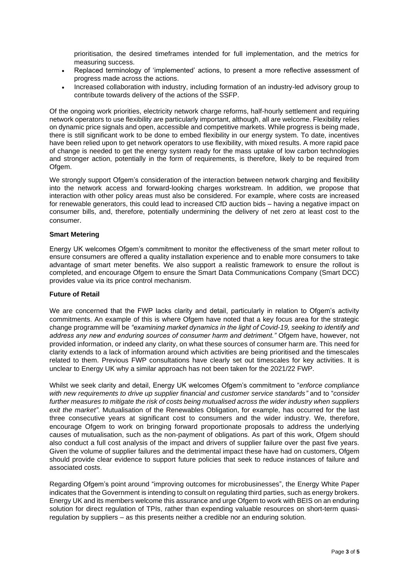prioritisation, the desired timeframes intended for full implementation, and the metrics for measuring success.

- Replaced terminology of 'implemented' actions, to present a more reflective assessment of progress made across the actions.
- Increased collaboration with industry, including formation of an industry-led advisory group to contribute towards delivery of the actions of the SSFP.

Of the ongoing work priorities, electricity network charge reforms, half-hourly settlement and requiring network operators to use flexibility are particularly important, although, all are welcome. Flexibility relies on dynamic price signals and open, accessible and competitive markets. While progress is being made, there is still significant work to be done to embed flexibility in our energy system. To date, incentives have been relied upon to get network operators to use flexibility, with mixed results. A more rapid pace of change is needed to get the energy system ready for the mass uptake of low carbon technologies and stronger action, potentially in the form of requirements, is therefore, likely to be required from Ofgem.

We strongly support Ofgem's consideration of the interaction between network charging and flexibility into the network access and forward-looking charges workstream. In addition, we propose that interaction with other policy areas must also be considered. For example, where costs are increased for renewable generators, this could lead to increased CfD auction bids – having a negative impact on consumer bills, and, therefore, potentially undermining the delivery of net zero at least cost to the consumer.

#### **Smart Metering**

Energy UK welcomes Ofgem's commitment to monitor the effectiveness of the smart meter rollout to ensure consumers are offered a quality installation experience and to enable more consumers to take advantage of smart meter benefits. We also support a realistic framework to ensure the rollout is completed, and encourage Ofgem to ensure the Smart Data Communications Company (Smart DCC) provides value via its price control mechanism.

#### **Future of Retail**

We are concerned that the FWP lacks clarity and detail, particularly in relation to Ofgem's activity commitments. An example of this is where Ofgem have noted that a key focus area for the strategic change programme will be *"examining market dynamics in the light of Covid-19, seeking to identify and address any new and enduring sources of consumer harm and detriment."* Ofgem have, however, not provided information, or indeed any clarity, on what these sources of consumer harm are. This need for clarity extends to a lack of information around which activities are being prioritised and the timescales related to them. Previous FWP consultations have clearly set out timescales for key activities. It is unclear to Energy UK why a similar approach has not been taken for the 2021/22 FWP.

Whilst we seek clarity and detail, Energy UK welcomes Ofgem's commitment to "*enforce compliance with new requirements to drive up supplier financial and customer service standards"* and to "*consider further measures to mitigate the risk of costs being mutualised across the wider industry when suppliers exit the market"*. Mutualisation of the Renewables Obligation, for example, has occurred for the last three consecutive years at significant cost to consumers and the wider industry. We, therefore, encourage Ofgem to work on bringing forward proportionate proposals to address the underlying causes of mutualisation, such as the non-payment of obligations. As part of this work, Ofgem should also conduct a full cost analysis of the impact and drivers of supplier failure over the past five years. Given the volume of supplier failures and the detrimental impact these have had on customers, Ofgem should provide clear evidence to support future policies that seek to reduce instances of failure and associated costs.

Regarding Ofgem's point around "improving outcomes for microbusinesses", the Energy White Paper indicates that the Government is intending to consult on regulating third parties, such as energy brokers. Energy UK and its members welcome this assurance and urge Ofgem to work with BEIS on an enduring solution for direct regulation of TPIs, rather than expending valuable resources on short-term quasiregulation by suppliers – as this presents neither a credible nor an enduring solution.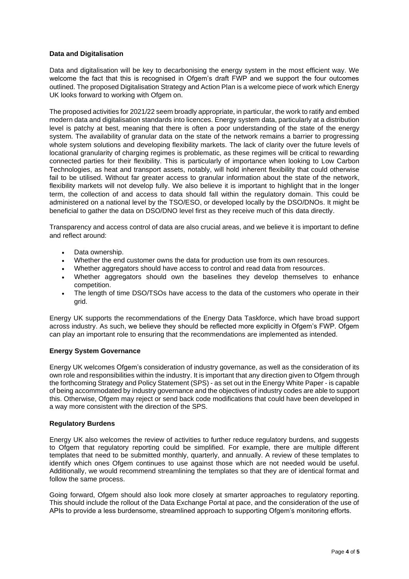### **Data and Digitalisation**

Data and digitalisation will be key to decarbonising the energy system in the most efficient way. We welcome the fact that this is recognised in Ofgem's draft FWP and we support the four outcomes outlined. The proposed Digitalisation Strategy and Action Plan is a welcome piece of work which Energy UK looks forward to working with Ofgem on.

The proposed activities for 2021/22 seem broadly appropriate, in particular, the work to ratify and embed modern data and digitalisation standards into licences. Energy system data, particularly at a distribution level is patchy at best, meaning that there is often a poor understanding of the state of the energy system. The availability of granular data on the state of the network remains a barrier to progressing whole system solutions and developing flexibility markets. The lack of clarity over the future levels of locational granularity of charging regimes is problematic, as these regimes will be critical to rewarding connected parties for their flexibility. This is particularly of importance when looking to Low Carbon Technologies, as heat and transport assets, notably, will hold inherent flexibility that could otherwise fail to be utilised. Without far greater access to granular information about the state of the network, flexibility markets will not develop fully. We also believe it is important to highlight that in the longer term, the collection of and access to data should fall within the regulatory domain. This could be administered on a national level by the TSO/ESO, or developed locally by the DSO/DNOs. It might be beneficial to gather the data on DSO/DNO level first as they receive much of this data directly.

Transparency and access control of data are also crucial areas, and we believe it is important to define and reflect around:

- Data ownership.
- Whether the end customer owns the data for production use from its own resources.
- Whether aggregators should have access to control and read data from resources.
- Whether aggregators should own the baselines they develop themselves to enhance competition.
- The length of time DSO/TSOs have access to the data of the customers who operate in their grid.

Energy UK supports the recommendations of the Energy Data Taskforce, which have broad support across industry. As such, we believe they should be reflected more explicitly in Ofgem's FWP. Ofgem can play an important role to ensuring that the recommendations are implemented as intended.

#### **Energy System Governance**

Energy UK welcomes Ofgem's consideration of industry governance, as well as the consideration of its own role and responsibilities within the industry. It is important that any direction given to Ofgem through the forthcoming Strategy and Policy Statement (SPS) - as set out in the Energy White Paper - is capable of being accommodated by industry governance and the objectives of industry codes are able to support this. Otherwise, Ofgem may reject or send back code modifications that could have been developed in a way more consistent with the direction of the SPS.

#### **Regulatory Burdens**

Energy UK also welcomes the review of activities to further reduce regulatory burdens, and suggests to Ofgem that regulatory reporting could be simplified. For example, there are multiple different templates that need to be submitted monthly, quarterly, and annually. A review of these templates to identify which ones Ofgem continues to use against those which are not needed would be useful. Additionally, we would recommend streamlining the templates so that they are of identical format and follow the same process.

Going forward, Ofgem should also look more closely at smarter approaches to regulatory reporting. This should include the rollout of the Data Exchange Portal at pace, and the consideration of the use of APIs to provide a less burdensome, streamlined approach to supporting Ofgem's monitoring efforts.